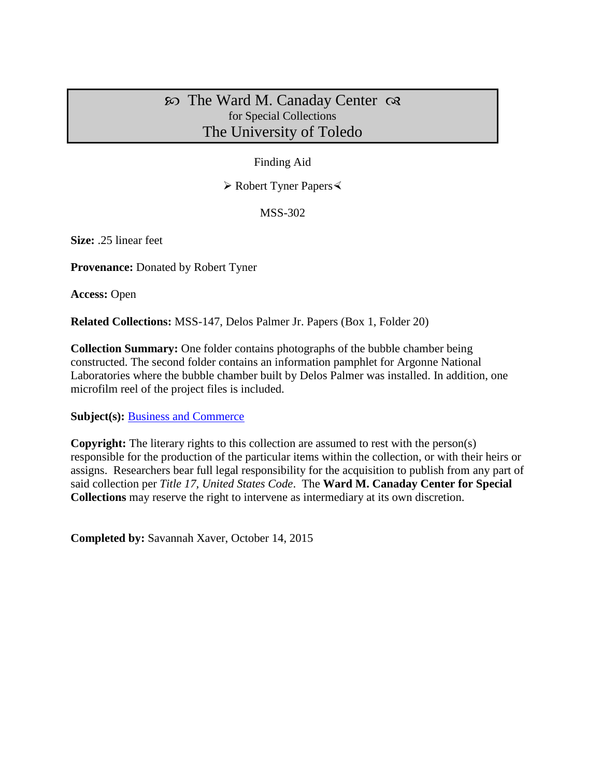## $\infty$  The Ward M. Canaday Center  $\infty$ for Special Collections The University of Toledo

## Finding Aid

Robert Tyner Papers

MSS-302

**Size:** .25 linear feet

**Provenance:** Donated by Robert Tyner

**Access:** Open

**Related Collections:** MSS-147, Delos Palmer Jr. Papers (Box 1, Folder 20)

**Collection Summary:** One folder contains photographs of the bubble chamber being constructed. The second folder contains an information pamphlet for Argonne National Laboratories where the bubble chamber built by Delos Palmer was installed. In addition, one microfilm reel of the project files is included.

**Subject(s):** [Business and Commerce](http://www.utoledo.edu/library/canaday/guidepages/business.html)

**Copyright:** The literary rights to this collection are assumed to rest with the person(s) responsible for the production of the particular items within the collection, or with their heirs or assigns. Researchers bear full legal responsibility for the acquisition to publish from any part of said collection per *Title 17, United States Code*. The **Ward M. Canaday Center for Special Collections** may reserve the right to intervene as intermediary at its own discretion.

**Completed by:** Savannah Xaver, October 14, 2015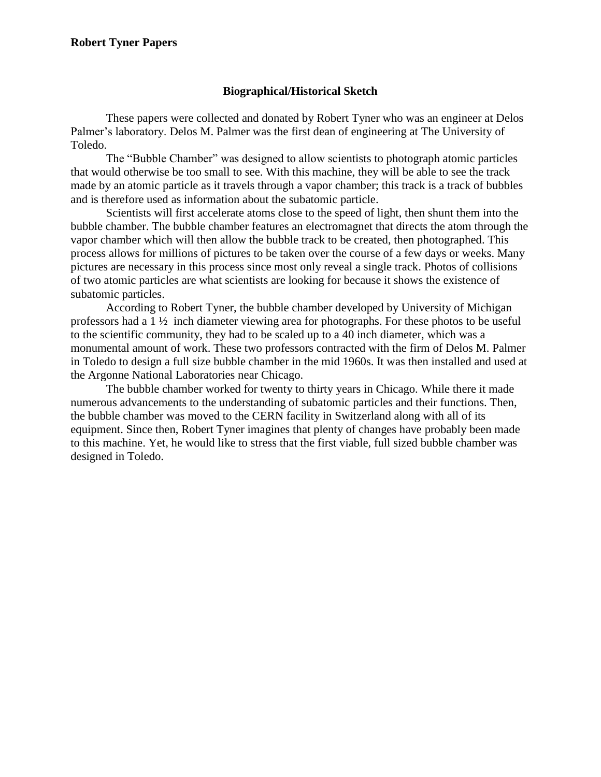## **Biographical/Historical Sketch**

These papers were collected and donated by Robert Tyner who was an engineer at Delos Palmer's laboratory. Delos M. Palmer was the first dean of engineering at The University of Toledo.

The "Bubble Chamber" was designed to allow scientists to photograph atomic particles that would otherwise be too small to see. With this machine, they will be able to see the track made by an atomic particle as it travels through a vapor chamber; this track is a track of bubbles and is therefore used as information about the subatomic particle.

Scientists will first accelerate atoms close to the speed of light, then shunt them into the bubble chamber. The bubble chamber features an electromagnet that directs the atom through the vapor chamber which will then allow the bubble track to be created, then photographed. This process allows for millions of pictures to be taken over the course of a few days or weeks. Many pictures are necessary in this process since most only reveal a single track. Photos of collisions of two atomic particles are what scientists are looking for because it shows the existence of subatomic particles.

According to Robert Tyner, the bubble chamber developed by University of Michigan professors had a 1 ½ inch diameter viewing area for photographs. For these photos to be useful to the scientific community, they had to be scaled up to a 40 inch diameter, which was a monumental amount of work. These two professors contracted with the firm of Delos M. Palmer in Toledo to design a full size bubble chamber in the mid 1960s. It was then installed and used at the Argonne National Laboratories near Chicago.

The bubble chamber worked for twenty to thirty years in Chicago. While there it made numerous advancements to the understanding of subatomic particles and their functions. Then, the bubble chamber was moved to the CERN facility in Switzerland along with all of its equipment. Since then, Robert Tyner imagines that plenty of changes have probably been made to this machine. Yet, he would like to stress that the first viable, full sized bubble chamber was designed in Toledo.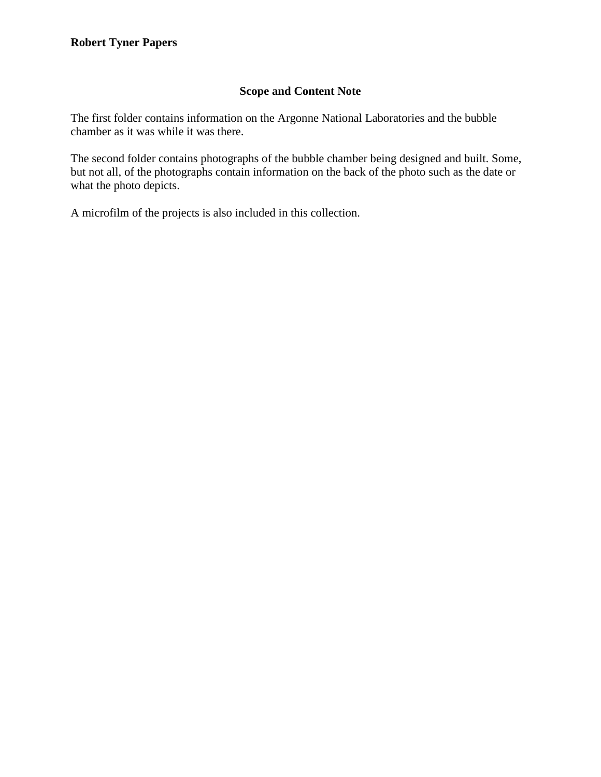## **Scope and Content Note**

The first folder contains information on the Argonne National Laboratories and the bubble chamber as it was while it was there.

The second folder contains photographs of the bubble chamber being designed and built. Some, but not all, of the photographs contain information on the back of the photo such as the date or what the photo depicts.

A microfilm of the projects is also included in this collection.